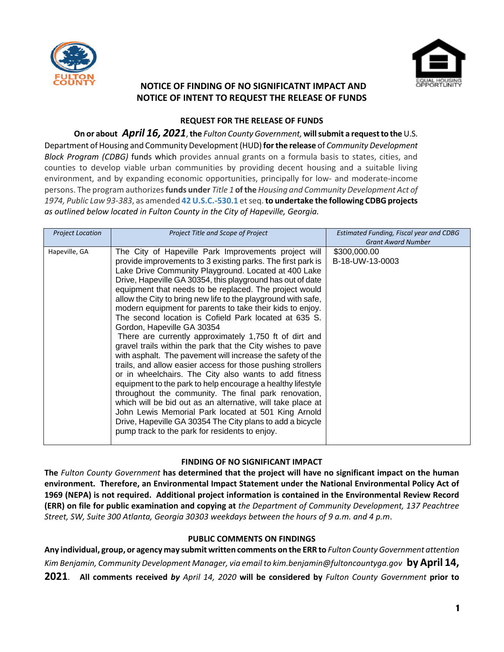



# **NOTICE OF FINDING OF NO SIGNIFICATNT IMPACT AND NOTICE OF INTENT TO REQUEST THE RELEASE OF FUNDS**

### **REQUEST FOR THE RELEASE OF FUNDS**

**On or about** *April 16, 2021***, the** *Fulton County Government***, will submit a request to the U.S.** Department of Housing and Community Development (HUD) **for the release** of *Community Development Block Program (CDBG)* funds which provides annual grants on a formula basis to states, cities, and counties to develop viable urban communities by providing decent housing and a suitable living environment, and by expanding economic opportunities, principally for low- and moderate-income persons. The program authorizes **funds under** *Title 1* **of the** *Housing and Community Development Act of 1974, Public Law 93-383*, as amended **[42 U.S.C.-530.1](http://portal.hud.gov/hudportal/HUD/program_offices/comm_planning/communitydevelopment/rulesandregs/laws/sec5301)** et seq.**to undertake the following CDBG projects** *as outlined below located in Fulton County in the City of Hapeville, Georgia.* 

| <b>Project Location</b> | Project Title and Scope of Project                                                                                                                                                                                                                                                                                                                                                                                                                                                                                                                                                                                                                                                                                                                                                                                                                                                                                                                                                                                                                                                                                                                                                                 | Estimated Funding, Fiscal year and CDBG<br><b>Grant Award Number</b> |
|-------------------------|----------------------------------------------------------------------------------------------------------------------------------------------------------------------------------------------------------------------------------------------------------------------------------------------------------------------------------------------------------------------------------------------------------------------------------------------------------------------------------------------------------------------------------------------------------------------------------------------------------------------------------------------------------------------------------------------------------------------------------------------------------------------------------------------------------------------------------------------------------------------------------------------------------------------------------------------------------------------------------------------------------------------------------------------------------------------------------------------------------------------------------------------------------------------------------------------------|----------------------------------------------------------------------|
| Hapeville, GA           | The City of Hapeville Park Improvements project will<br>provide improvements to 3 existing parks. The first park is<br>Lake Drive Community Playground. Located at 400 Lake<br>Drive, Hapeville GA 30354, this playground has out of date<br>equipment that needs to be replaced. The project would<br>allow the City to bring new life to the playground with safe,<br>modern equipment for parents to take their kids to enjoy.<br>The second location is Cofield Park located at 635 S.<br>Gordon, Hapeville GA 30354<br>There are currently approximately 1,750 ft of dirt and<br>gravel trails within the park that the City wishes to pave<br>with asphalt. The pavement will increase the safety of the<br>trails, and allow easier access for those pushing strollers<br>or in wheelchairs. The City also wants to add fitness<br>equipment to the park to help encourage a healthy lifestyle<br>throughout the community. The final park renovation,<br>which will be bid out as an alternative, will take place at<br>John Lewis Memorial Park located at 501 King Arnold<br>Drive, Hapeville GA 30354 The City plans to add a bicycle<br>pump track to the park for residents to enjoy. | \$300,000.00<br>B-18-UW-13-0003                                      |

## **FINDING OF NO SIGNIFICANT IMPACT**

**The** *Fulton County Government* **has determined that the project will have no significant impact on the human environment. Therefore, an Environmental Impact Statement under the National Environmental Policy Act of 1969 (NEPA) is not required. Additional project information is contained in the Environmental Review Record (ERR) on file for public examination and copying at** *the Department of Community Development, 137 Peachtree Street, SW, Suite 300 Atlanta, Georgia 30303 weekdays between the hours of 9 a.m. and 4 p.m*.

### **PUBLIC COMMENTS ON FINDINGS**

**Any individual, group, or agency may submit written comments on the ERR to** *Fulton County Government attention Kim Benjamin, Community Development Manager, via email to kim.benjamin@fultoncountyga.gov* **by April 14, 2021**. **All comments received** *by April 14, 2020* **will be considered by** *Fulton County Government* **prior to**